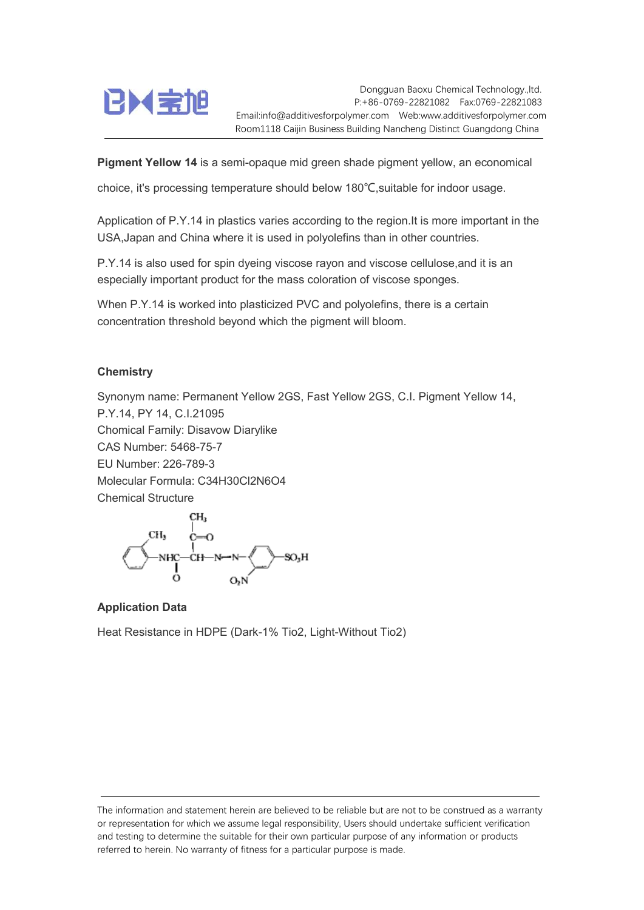

Dongguan Baoxu Chemical Technology.,ltd. P:+86-0769-22821082 Fax:0769-22821083 Email:info@additivesforpolymer.com Web:www.additivesforpolymer.com Room1118 Caijin Business Building Nancheng Distinct Guangdong China

Pigment Yellow 14 is a semi-opaque mid green shade pigment yellow, an economical

choice, it's processing temperature should below 180℃,suitable for indoor usage.

Application of P.Y.14 in plastics varies according to the region.It is more important in the USA,Japan and China where it is used in polyolefins than in other countries.

P.Y.14 is also used for spin dyeing viscose rayon and viscose cellulose,and it is an especially important product for the mass coloration of viscose sponges.

When P.Y.14 is worked into plasticized PVC and polyolefins, there is a certain concentration threshold beyond which the pigment will bloom.

## **Chemistry**

Synonym name: Permanent Yellow 2GS, Fast Yellow 2GS, C.I. Pigment Yellow 14, P.Y.14, PY 14, C.I.21095 Chomical Family: Disavow Diarylike CAS Number: 5468-75-7 EU Number: 226-789-3 Molecular Formula: C34H30Cl2N6O4 Chemical Structure



## Application Data

Heat Resistance in HDPE (Dark-1% Tio2, Light-Without Tio2)

The information and statement herein are believed to be reliable but are not to be construed as a warranty or representation for which we assume legal responsibility, Users should undertake sufficient verification and testing to determine the suitable for their own particular purpose of any information or products referred to herein. No warranty of fitness for a particular purpose is made.